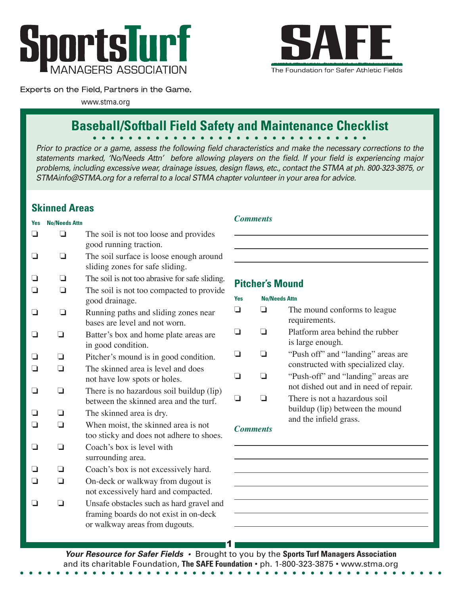



### Experts on the Field, Partners in the Game.

www.stma.org

# **Baseball/Softball Field Safety and Maintenance Checklist**

*Prior to practice or a game, assess the following field characteristics and make the necessary corrections to the statements marked, 'No/Needs Attn' before allowing players on the field. If your field is experiencing major problems, including excessive wear, drainage issues, design flaws, etc., contact the STMA at ph. 800-323-3875, or STMAinfo@STMA.org for a referral to a local STMA chapter volunteer in your area for advice.* 

# **Skinned Areas**

# **Yes No/Needs Attn**

|                |                | The soil is not too loose and provides<br>good running traction.                                                          |
|----------------|----------------|---------------------------------------------------------------------------------------------------------------------------|
|                |                | The soil surface is loose enough around<br>sliding zones for safe sliding.                                                |
|                | $\blacksquare$ | The soil is not too abrasive for safe sliding.                                                                            |
|                | □              | The soil is not too compacted to provide<br>good drainage.                                                                |
| $\blacksquare$ | □              | Running paths and sliding zones near<br>bases are level and not worn.                                                     |
| □              | ◻              | Batter's box and home plate areas are<br>in good condition.                                                               |
| ⊐              | n              | Pitcher's mound is in good condition.                                                                                     |
| ∩              | ∩              | The skinned area is level and does<br>not have low spots or holes.                                                        |
| □              | ◘              | There is no hazardous soil buildup (lip)<br>between the skinned area and the turf.                                        |
|                |                | The skinned area is dry.                                                                                                  |
| ┓              | ∩              | When moist, the skinned area is not<br>too sticky and does not adhere to shoes.                                           |
|                | n              | Coach's box is level with<br>surrounding area.                                                                            |
|                |                | Coach's box is not excessively hard.                                                                                      |
|                |                | On-deck or walkway from dugout is<br>not excessively hard and compacted.                                                  |
|                | ┒              | Unsafe obstacles such as hard gravel and<br>framing boards do not exist in on-deck<br>or walkway areas from dugouts.<br>1 |
|                |                |                                                                                                                           |

## *Comments*

# **Pitcher's Mound**

## **Yes No/Needs Attn**  $\Box$  The mound conforms to league requirements.  $\Box$  Platform area behind the rubber is large enough.  $\Box$  "Push off" and "landing" areas are constructed with specialized clay.  $\Box$  <sup>"</sup>Push-off" and "landing" areas are not dished out and in need of repair.  $\Box$   $\Box$  There is not a hazardous soil buildup (lip) between the mound and the infield grass.

### *Comments*

**Your Resource for Safer Fields •** Brought to you by the **Sports Turf Managers Association**  and its charitable Foundation, **The SAFE Foundation** • ph. 1-800-323-3875 • www.stma.org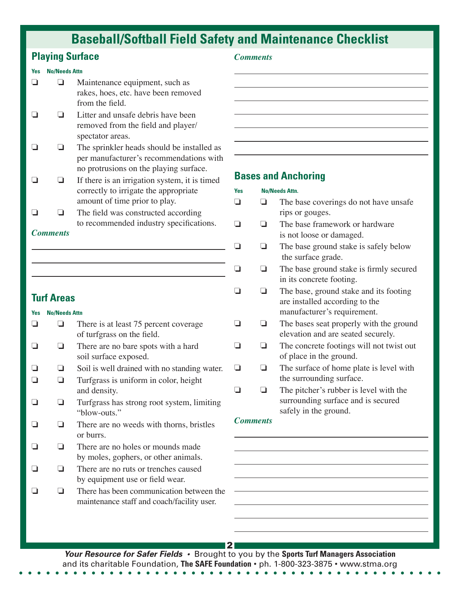# **Baseball/Softball Field Safety and Maintenance Checklist**

# **Playing Surface**

### **Yes No/Needs Attn**

- $\Box$  Maintenance equipment, such as rakes, hoes, etc. have been removed from the field.
- $\Box$   $\Box$  Litter and unsafe debris have been removed from the field and player/ spectator areas.
- $\Box$  The sprinkler heads should be installed as per manufacturer's recommendations with no protrusions on the playing surface.
- $\Box$  If there is an irrigation system, it is timed correctly to irrigate the appropriate amount of time prior to play.
- $\Box$  The field was constructed according to recommended industry specifications.

## *Comments*

## **Turf Areas**

## **Yes No/Needs Attn**  $\Box$  There is at least 75 percent coverage of turfgrass on the field.  $\Box$  There are no bare spots with a hard soil surface exposed.  $\Box$  Soil is well drained with no standing water.  $\Box$   $\Box$  Turfgrass is uniform in color, height and density.  $\Box$   $\Box$  Turfgrass has strong root system, limiting "blow-outs."  $\Box$   $\Box$  There are no weeds with thorns, bristles or burrs.  $\Box$  There are no holes or mounds made by moles, gophers, or other animals.  $\Box$   $\Box$  There are no ruts or trenches caused by equipment use or field wear.  $\Box$   $\Box$  There has been communication between the maintenance staff and coach/facility user.

### *Comments*

## **Bases and Anchoring**

| <b>Yes</b>      |   | <b>No/Needs Attn.</b>                                                         |  |
|-----------------|---|-------------------------------------------------------------------------------|--|
|                 |   | The base coverings do not have unsafe.                                        |  |
|                 |   | rips or gouges.                                                               |  |
|                 | H | The base framework or hardware                                                |  |
|                 |   | is not loose or damaged.                                                      |  |
|                 |   | The base ground stake is safely below<br>the surface grade.                   |  |
|                 |   | The base ground stake is firmly secured                                       |  |
|                 |   | in its concrete footing.                                                      |  |
|                 |   | The base, ground stake and its footing                                        |  |
|                 |   | are installed according to the                                                |  |
|                 |   | manufacturer's requirement.                                                   |  |
|                 |   | The bases seat properly with the ground<br>elevation and are seated securely. |  |
|                 |   | The concrete footings will not twist out                                      |  |
|                 |   | of place in the ground.                                                       |  |
|                 |   | The surface of home plate is level with                                       |  |
|                 |   | the surrounding surface.                                                      |  |
|                 |   | The pitcher's rubber is level with the                                        |  |
|                 |   | surrounding surface and is secured                                            |  |
|                 |   | safely in the ground.                                                         |  |
| <b>Comments</b> |   |                                                                               |  |

**Your Resource for Safer Fields •** Brought to you by the **Sports Turf Managers Association**  and its charitable Foundation, **The SAFE Foundation** • ph. 1-800-323-3875 • www.stma.org